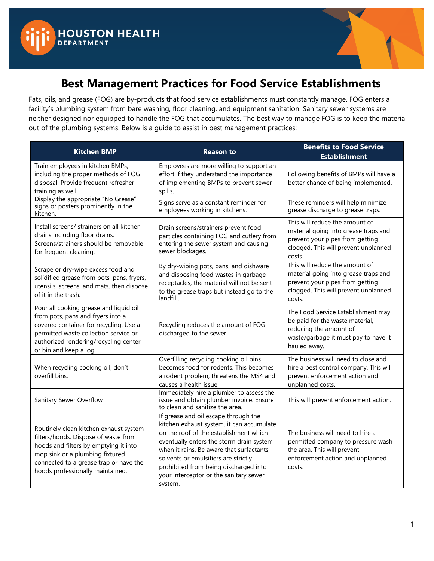



## **Best Management Practices for Food Service Establishments**

Fats, oils, and grease (FOG) are by-products that food service establishments must constantly manage. FOG enters a facility's plumbing system from bare washing, floor cleaning, and equipment sanitation. Sanitary sewer systems are neither designed nor equipped to handle the FOG that accumulates. The best way to manage FOG is to keep the material out of the plumbing systems. Below is a guide to assist in best management practices:

| <b>Kitchen BMP</b>                                                                                                                                                                                                                       | <b>Reason to</b>                                                                                                                                                                                                                                                                                                                                           | <b>Benefits to Food Service</b><br><b>Establishment</b>                                                                                                     |
|------------------------------------------------------------------------------------------------------------------------------------------------------------------------------------------------------------------------------------------|------------------------------------------------------------------------------------------------------------------------------------------------------------------------------------------------------------------------------------------------------------------------------------------------------------------------------------------------------------|-------------------------------------------------------------------------------------------------------------------------------------------------------------|
| Train employees in kitchen BMPs,<br>including the proper methods of FOG<br>disposal. Provide frequent refresher<br>training as well.                                                                                                     | Employees are more willing to support an<br>effort if they understand the importance<br>of implementing BMPs to prevent sewer<br>spills.                                                                                                                                                                                                                   | Following benefits of BMPs will have a<br>better chance of being implemented.                                                                               |
| Display the appropriate "No Grease"<br>signs or posters prominently in the<br>kitchen.                                                                                                                                                   | Signs serve as a constant reminder for<br>employees working in kitchens.                                                                                                                                                                                                                                                                                   | These reminders will help minimize<br>grease discharge to grease traps.                                                                                     |
| Install screens/ strainers on all kitchen<br>drains including floor drains.<br>Screens/strainers should be removable<br>for frequent cleaning.                                                                                           | Drain screens/strainers prevent food<br>particles containing FOG and cutlery from<br>entering the sewer system and causing<br>sewer blockages.                                                                                                                                                                                                             | This will reduce the amount of<br>material going into grease traps and<br>prevent your pipes from getting<br>clogged. This will prevent unplanned<br>costs. |
| Scrape or dry-wipe excess food and<br>solidified grease from pots, pans, fryers,<br>utensils, screens, and mats, then dispose<br>of it in the trash.                                                                                     | By dry-wiping pots, pans, and dishware<br>and disposing food wastes in garbage<br>receptacles, the material will not be sent<br>to the grease traps but instead go to the<br>landfill.                                                                                                                                                                     | This will reduce the amount of<br>material going into grease traps and<br>prevent your pipes from getting<br>clogged. This will prevent unplanned<br>costs. |
| Pour all cooking grease and liquid oil<br>from pots, pans and fryers into a<br>covered container for recycling. Use a<br>permitted waste collection service or<br>authorized rendering/recycling center<br>or bin and keep a log.        | Recycling reduces the amount of FOG<br>discharged to the sewer.                                                                                                                                                                                                                                                                                            | The Food Service Establishment may<br>be paid for the waste material,<br>reducing the amount of<br>waste/garbage it must pay to have it<br>hauled away.     |
| When recycling cooking oil, don't<br>overfill bins.                                                                                                                                                                                      | Overfilling recycling cooking oil bins<br>becomes food for rodents. This becomes<br>a rodent problem, threatens the MS4 and<br>causes a health issue.                                                                                                                                                                                                      | The business will need to close and<br>hire a pest control company. This will<br>prevent enforcement action and<br>unplanned costs.                         |
| Sanitary Sewer Overflow                                                                                                                                                                                                                  | Immediately hire a plumber to assess the<br>issue and obtain plumber invoice. Ensure<br>to clean and sanitize the area.                                                                                                                                                                                                                                    | This will prevent enforcement action.                                                                                                                       |
| Routinely clean kitchen exhaust system<br>filters/hoods. Dispose of waste from<br>hoods and filters by emptying it into<br>mop sink or a plumbing fixtured<br>connected to a grease trap or have the<br>hoods professionally maintained. | If grease and oil escape through the<br>kitchen exhaust system, it can accumulate<br>on the roof of the establishment which<br>eventually enters the storm drain system<br>when it rains. Be aware that surfactants,<br>solvents or emulsifiers are strictly<br>prohibited from being discharged into<br>your interceptor or the sanitary sewer<br>system. | The business will need to hire a<br>permitted company to pressure wash<br>the area. This will prevent<br>enforcement action and unplanned<br>costs.         |